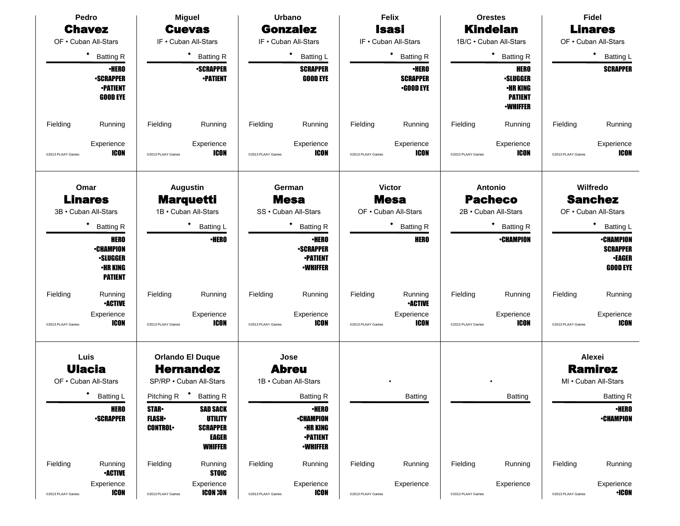| Pedro                                         |                                                                                  | <b>Miguel</b>                                               |                                                                                 | <b>Urbano</b>                                         |                                                                                           | <b>Felix</b>                                          |                           | <b>Orestes</b>                                  |                      | Fidel                                         |                                                                         |
|-----------------------------------------------|----------------------------------------------------------------------------------|-------------------------------------------------------------|---------------------------------------------------------------------------------|-------------------------------------------------------|-------------------------------------------------------------------------------------------|-------------------------------------------------------|---------------------------|-------------------------------------------------|----------------------|-----------------------------------------------|-------------------------------------------------------------------------|
| <b>Chavez</b>                                 |                                                                                  | <b>Cuevas</b>                                               |                                                                                 | <b>Gonzalez</b>                                       |                                                                                           | <b>Isasi</b>                                          |                           | <b>Kindelan</b>                                 |                      | <b>Linares</b>                                |                                                                         |
| OF . Cuban All-Stars<br>٠<br><b>Batting R</b> |                                                                                  | IF . Cuban All-Stars<br>* Batting R                         |                                                                                 | IF . Cuban All-Stars<br>$\bullet$<br><b>Batting L</b> |                                                                                           | IF . Cuban All-Stars<br>$\bullet$<br><b>Batting R</b> |                           | 1B/C · Cuban All-Stars<br>٠<br><b>Batting R</b> |                      | OF . Cuban All-Stars<br>٠<br><b>Batting L</b> |                                                                         |
|                                               |                                                                                  |                                                             |                                                                                 |                                                       |                                                                                           |                                                       |                           |                                                 |                      |                                               |                                                                         |
| Fielding                                      | Running                                                                          | Fielding                                                    | Running                                                                         | Fielding                                              | Running                                                                                   | Fielding                                              | Running                   | Fielding                                        | Running              | Fielding                                      | Running                                                                 |
| @2013 PLAAY Games                             | Experience<br><b>ICON</b>                                                        | @2013 PLAAY Games                                           | Experience<br><b>ICON</b>                                                       | @2013 PLAAY Games                                     | Experience<br>ICON                                                                        | @2013 PLAAY Games                                     | Experience<br>ICON        | @2013 PLAAY Games                               | Experience<br>ICON   | @2013 PLAAY Games                             | Experience<br><b>ICON</b>                                               |
| Omar<br><b>Linares</b>                        |                                                                                  | <b>Augustin</b><br><b>Marquetti</b><br>1B · Cuban All-Stars |                                                                                 | German<br><b>Mesa</b>                                 |                                                                                           | <b>Victor</b><br><b>Mesa</b>                          |                           | Antonio<br><b>Pacheco</b>                       |                      | Wilfredo<br><b>Sanchez</b>                    |                                                                         |
|                                               | 3B · Cuban All-Stars                                                             |                                                             |                                                                                 |                                                       | SS · Cuban All-Stars                                                                      |                                                       | OF . Cuban All-Stars      |                                                 | 2B · Cuban All-Stars |                                               | OF . Cuban All-Stars                                                    |
|                                               | <b>Batting R</b>                                                                 |                                                             | * Batting L                                                                     |                                                       | * Batting R                                                                               |                                                       | * Batting R               |                                                 | <b>Batting R</b>     |                                               | ٠<br>Batting L                                                          |
|                                               | <b>HERO</b><br><b>-CHAMPION</b><br><b>•SLUGGER</b><br>•HR KING<br><b>PATIENT</b> |                                                             | <b>·HERO</b>                                                                    |                                                       | <b>•HERO</b><br><b>-SCRAPPER</b><br><b>-PATIENT</b><br><b>•WHIFFER</b>                    |                                                       | <b>HERO</b>               |                                                 | <b>•CHAMPION</b>     |                                               | <b>•CHAMPION</b><br><b>SCRAPPER</b><br><b>•EAGER</b><br><b>GOOD EYE</b> |
| Fielding                                      | Running<br><b>•ACTIVE</b>                                                        | Fielding                                                    | Running                                                                         | Fielding                                              | Running                                                                                   | Fielding                                              | Running<br><b>•ACTIVE</b> | Fielding                                        | Running              | Fielding                                      | Running                                                                 |
| @2013 PLAAY Games                             | Experience<br>ICON                                                               | @2013 PLAAY Games                                           | Experience<br><b>ICON</b>                                                       | @2013 PLAAY Games                                     | Experience<br>ICON                                                                        | @2013 PLAAY Games                                     | Experience<br>ICON        | @2013 PLAAY Games                               | Experience<br>ICON   | @2013 PLAAY Games                             | Experience<br><b>ICON</b>                                               |
|                                               | Luis                                                                             |                                                             | <b>Orlando El Duque</b>                                                         |                                                       | Jose                                                                                      |                                                       |                           |                                                 |                      |                                               | Alexei                                                                  |
| <b>Ulacia</b>                                 |                                                                                  | <b>Hernandez</b>                                            |                                                                                 | <b>Abreu</b>                                          |                                                                                           |                                                       |                           |                                                 |                      |                                               | <b>Ramirez</b>                                                          |
| OF • Cuban All-Stars                          |                                                                                  |                                                             | SP/RP . Cuban All-Stars                                                         | 1B · Cuban All-Stars                                  |                                                                                           |                                                       |                           |                                                 |                      |                                               | MI . Cuban All-Stars                                                    |
|                                               | * Batting L                                                                      | Pitching R <sup>+</sup> Batting R                           |                                                                                 |                                                       | <b>Batting R</b>                                                                          |                                                       | Batting                   |                                                 | Batting              |                                               | <b>Batting R</b>                                                        |
|                                               | <b>HERO</b><br><b>-SCRAPPER</b>                                                  | <b>STAR</b><br><b>FLASH</b><br><b>CONTROL</b>               | <b>SAD SACK</b><br><b>UTILITY</b><br><b>SCRAPPER</b><br>EAGER<br><b>WHIFFER</b> |                                                       | <b>•HERO</b><br><b>•CHAMPION</b><br><b>•HR KING</b><br><b>•PATIENT</b><br><b>-WHIFFER</b> |                                                       |                           |                                                 |                      |                                               | <b>·HERO</b><br><b>-CHAMPION</b>                                        |
| Fielding                                      | Running<br><b>•ACTIVE</b>                                                        | Fielding                                                    | Running<br><b>STOIC</b>                                                         | Fielding                                              | Running                                                                                   | Fielding                                              | Running                   | Fielding                                        | Running              | Fielding                                      | Running                                                                 |
| @2013 PLAAY Games                             | Experience<br><b>ICON</b>                                                        | @2013 PLAAY Games                                           | Experience<br><b>ICON :ON</b>                                                   | @2013 PLAAY Games                                     | Experience<br><b>ICON</b>                                                                 | @2013 PLAAY Games                                     | Experience                | @2013 PLAAY Games                               | Experience           | @2013 PLAAY Games                             | Experience<br>$\cdot$ ICON                                              |